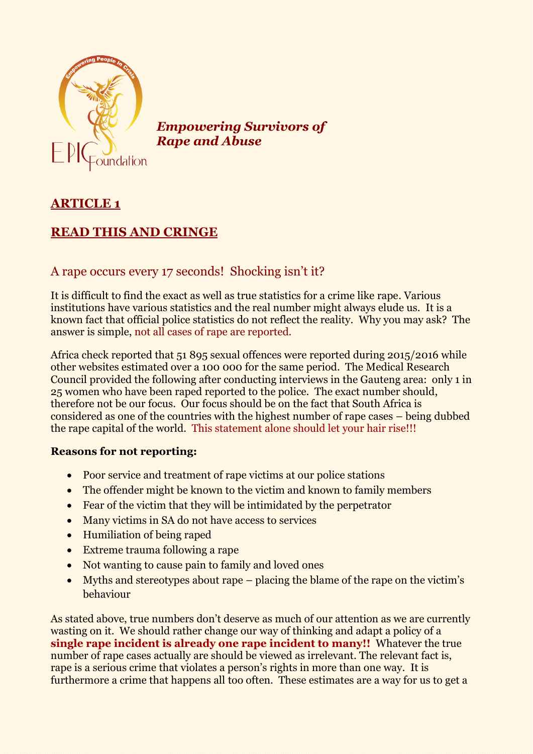

*Empowering Survivors of Rape and Abuse*

## **ARTICLE 1**

## **READ THIS AND CRINGE**

## A rape occurs every 17 seconds! Shocking isn't it?

It is difficult to find the exact as well as true statistics for a crime like rape. Various institutions have various statistics and the real number might always elude us. It is a known fact that official police statistics do not reflect the reality. Why you may ask? The answer is simple, not all cases of rape are reported.

Africa check reported that 51 895 sexual offences were reported during 2015/2016 while other websites estimated over a 100 000 for the same period. The Medical Research Council provided the following after conducting interviews in the Gauteng area: only 1 in 25 women who have been raped reported to the police. The exact number should, therefore not be our focus. Our focus should be on the fact that South Africa is considered as one of the countries with the highest number of rape cases – being dubbed the rape capital of the world. This statement alone should let your hair rise!!!

## **Reasons for not reporting:**

- Poor service and treatment of rape victims at our police stations
- The offender might be known to the victim and known to family members
- Fear of the victim that they will be intimidated by the perpetrator
- Many victims in SA do not have access to services
- Humiliation of being raped
- Extreme trauma following a rape
- Not wanting to cause pain to family and loved ones
- Myths and stereotypes about rape placing the blame of the rape on the victim's behaviour

As stated above, true numbers don't deserve as much of our attention as we are currently wasting on it. We should rather change our way of thinking and adapt a policy of a **single rape incident is already one rape incident to many!!** Whatever the true number of rape cases actually are should be viewed as irrelevant. The relevant fact is, rape is a serious crime that violates a person's rights in more than one way. It is furthermore a crime that happens all too often. These estimates are a way for us to get a